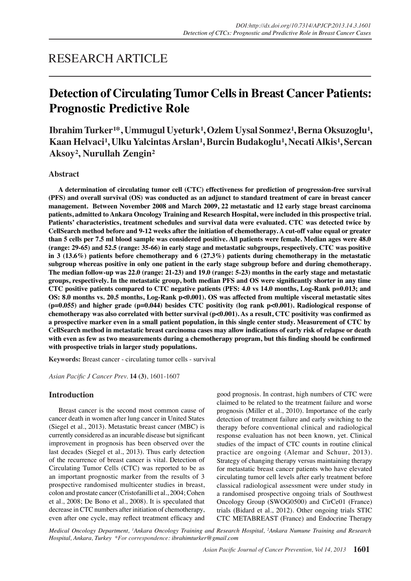## RESEARCH ARTICLE

# **Detection of Circulating Tumor Cells in Breast Cancer Patients: Prognostic Predictive Role**

**Ibrahim Turker<sup>1\*</sup>, Ummugul Uyeturk<sup>1</sup>, Ozlem Uysal Sonmez<sup>1</sup>, Berna Oksuzoglu<sup>1</sup>,** Kaan Helvaci<sup>1</sup>, Ulku Yalcintas Arslan<sup>1</sup>, Burcin Budakoglu<sup>1</sup>, Necati Alkis<sup>1</sup>, Sercan **Aksoy², Nurullah Zengin²**

## **Abstract**

**A determination of circulating tumor cell (CTC) effectiveness for prediction of progression-free survival (PFS) and overall survival (OS) was conducted as an adjunct to standard treatment of care in breast cancer management. Between November 2008 and March 2009, 22 metastatic and 12 early stage breast carcinoma patients, admitted to Ankara Oncology Training and Research Hospital, were included in this prospective trial. Patients' characteristics, treatment schedules and survival data were evaluated. CTC was detected twice by CellSearch method before and 9-12 weeks after the initiation of chemotherapy. A cut-off value equal or greater than 5 cells per 7.5 ml blood sample was considered positive. All patients were female. Median ages were 48.0 (range: 29-65) and 52.5 (range: 35-66) in early stage and metastatic subgroups, respectively. CTC was positive in 3 (13.6%) patients before chemotherapy and 6 (27.3%) patients during chemotherapy in the metastatic subgroup whereas positive in only one patient in the early stage subgroup before and during chemotherapy. The median follow-up was 22.0 (range: 21-23) and 19.0 (range: 5-23) months in the early stage and metastatic groups, respectively. In the metastatic group, both median PFS and OS were significantly shorter in any time CTC positive patients compared to CTC negative patients (PFS: 4.0 vs 14.0 months, Log-Rank p=0.013; and OS: 8.0 months vs. 20.5 months, Log-Rank p<0.001). OS was affected from multiple visceral metastatic sites (p=0.055) and higher grade (p=0.044) besides CTC positivity (log rank p<0.001). Radiological response of chemotherapy was also correlated with better survival (p<0.001). As a result, CTC positivity was confirmed as a prospective marker even in a small patient population, in this single center study. Measurement of CTC by CellSearch method in metastatic breast carcinoma cases may allow indications of early risk of relapse or death with even as few as two measurements during a chemotherapy program, but this finding should be confirmed with prospective trials in larger study populations.**

**Keywords:** Breast cancer - circulating tumor cells - survival

*Asian Pacific J Cancer Prev.* **14 (3)**, 1601-1607

## **Introduction**

Breast cancer is the second most common cause of cancer death in women after lung cancer in United States (Siegel et al., 2013). Metastatic breast cancer (MBC) is currently considered as an incurable disease but significant improvement in prognosis has been observed over the last decades (Siegel et al., 2013). Thus early detection of the recurrence of breast cancer is vital. Detection of Circulating Tumor Cells (CTC) was reported to be as an important prognostic marker from the results of 3 prospective randomised multicenter studies in breast, colon and prostate cancer (Cristofanilli et al., 2004; Cohen et al., 2008; De Bono et al., 2008). It is speculated that decrease in CTC numbers after initiation of chemotherapy, even after one cycle, may reflect treatment efficacy and good prognosis. In contrast, high numbers of CTC were claimed to be related to the treatment failure and worse prognosis (Miller et al., 2010). Importance of the early detection of treatment failure and early switching to the therapy before conventional clinical and radiological response evaluation has not been known, yet. Clinical studies of the impact of CTC counts in routine clinical practice are ongoing (Alemar and Schuur, 2013). Strategy of changing therapy versus maintaining therapy for metastatic breast cancer patients who have elevated circulating tumor cell levels after early treatment before classical radiological assessment were under study in a randomised prospective ongoing trials of Southwest Oncology Group (SWOG0500) and CirCe01 (France) trials (Bidard et al., 2012). Other ongoing trials STIC CTC METABREAST (France) and Endocrine Therapy

*Medical Oncology Department, <sup>1</sup> Ankara Oncology Training and Research Hospital, <sup>2</sup> Ankara Numune Training and Research Hospital, Ankara, Turkey \*For correspondence: ibrahimturker@gmail.com*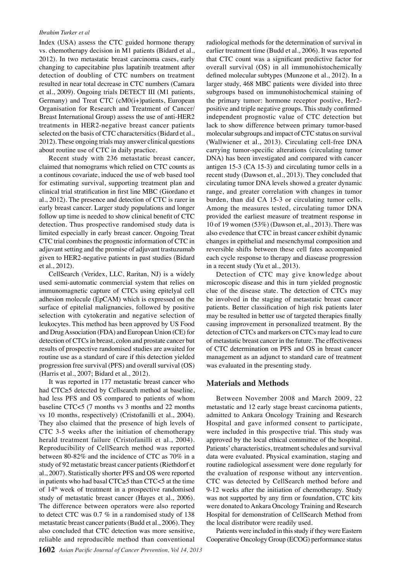#### *Ibrahim Turker et al*

Index (USA) assess the CTC guided hormone therapy vs. chemotherapy decision in M1 patients (Bidard et al., 2012). In two metastatic breast carcinoma cases, early changing to capecitabine plus lapatinib treatment after detection of doubling of CTC numbers on treatment resulted in near total decrease in CTC numbers (Camara et al., 2009). Ongoing trials DETECT III (M1 patients, Germany) and Treat CTC (cM0(i+)patients, European Organisation for Research and Treatment of Cancer/ Breast International Group) assess the use of anti-HER2 treatments in HER2-negative breast cancer patients selected on the basis of CTC charactersitics (Bidard et al., 2012). These ongoing trials may answer clinical questions about routine use of CTC in daily practice.

Recent study with 236 metastatic breast cancer, claimed that nomograms which relied on CTC counts as a continous covariate, induced the use of web based tool for estimating survival, supporting treatment plan and clinical trial stratification in first line MBC (Giordano et al., 2012). The presence and detection of CTC is rarer in early breast cancer. Larger study populations and longer follow up time is needed to show clinical benefit of CTC detection. Thus prospective randomised study data is limited especially in early breast cancer. Ongoing Treat CTC trial combines the prognostic information of CTC in adjuvant setting and the promise of adjuvant trastuzumab given to HER2-negative patients in past studies (Bidard et al., 2012).

CellSearch (Veridex, LLC, Raritan, NJ) is a widely used semi-automatic commercial system that relies on immunomagnetic capture of CTCs using epitelyal cell adhesion molecule (EpCAM) which is expressed on the surface of epitelial malignancies, followed by positive selection with cytokeratin and negative selection of leukocytes. This method has been approved by US Food and Drug Association (FDA) and European Union (CE) for detection of CTCs in breast, colon and prostate cancer but results of prospective randomised studies are awaited for routine use as a standard of care if this detection yielded progression free survival (PFS) and overall survival (OS) (Harris et al., 2007; Bidard et al., 2012).

It was reported in 177 metastatic breast cancer who had CTC≥5 detected by Cellsearch method at baseline, had less PFS and OS compared to patients of whom baseline CTC<5 (7 months vs 3 months and 22 months vs 10 months, respectively) (Cristofanilli et al., 2004). They also claimed that the presence of high levels of CTC 3-5 weeks after the initiation of chemotherapy herald treatment failure (Cristofanilli et al., 2004). Reproducibility of CellSearch method was reported between 80-82% and the incidence of CTC as 70% in a study of 92 metastatic breast cancer patients (Riethdorf et al., 2007). Statistically shorter PFS and OS were reported in patients who had basal CTC≥5 than CTC<5 at the time of 14th week of treatment in a prospective randomised study of metastatic breast cancer (Hayes et al., 2006). The difference between operators were also reported to detect CTC was 0.7 % in a randomised study of 138 metastatic breast cancer patients (Budd et al., 2006). They also concluded that CTC detection was more sensitive, reliable and reproducible method than conventional

radiological methods for the determination of survival in earlier treatment time (Budd et al., 2006). It was reported that CTC count was a significant predictive factor for overall survival (OS) in all immunohistochemically defined molecular subtypes (Munzone et al., 2012). In a larger study, 468 MBC patients were divided into three subgroups based on immunohistochemical staining of the primary tumor: hormone receptor postive, Her2 positive and triple negative groups. This study confirmed independent prognostic value of CTC detection but lack to show difference between primary tumor-based molecular subgroups and impact of CTC status on survival (Wallwiener et al., 2013). Circulating cell-free DNA carrying tumor-specific alterations (circulating tumor DNA) has been investigated and compared with cancer antigen 15-3 (CA 15-3) and circulating tumor cells in a recent study (Dawson et, al., 2013). They concluded that circulating tumor DNA levels showed a greater dynamic range, and greater correlation with changes in tumor burden, than did CA 15-3 or circulating tumor cells. Among the measures tested, circulating tumor DNA provided the earliest measure of treatment response in 10 of 19 women (53%) (Dawson et, al., 2013). There was also evedence that CTC in breast cancer exhibit dynamic changes in epithelial and mesenchymal composition and reversible shifts between these cell fates accompanied each cycle response to therapy and diasease progression in a recent study (Yu et al., 2013).

Detection of CTC may give knowledge about microscopic disease and this in turn yielded prognostic clue of the disease state. The detection of CTCs may be involved in the staging of metastatic breast cancer patients. Better classification of high risk patients later may be resulted in better use of targeted therapies finally causing improvement in personalized treatment. By the detection of CTCs and markers on CTCs may lead to cure of metastatic breast cancer in the future. The effectiveness of CTC determination on PFS and OS in breast cancer management as an adjunct to standard care of treatment was evaluated in the presenting study.

#### **Materials and Methods**

Between November 2008 and March 2009, 22 metastatic and 12 early stage breast carcinoma patients, admitted to Ankara Oncology Training and Research Hospital and gave informed consent to participate, were included in this prospective trial. This study was approved by the local ethical committee of the hospital. Patients' characteristics, treatment schedules and survival data were evaluated. Physical examination, staging and routine radiological assessment were done regularly for the evaluation of response without any intervention. CTC was detected by CellSearch method before and 9-12 weeks after the initiation of chemotherapy. Study was not supported by any firm or foundation, CTC kits were donated to Ankara Oncology Training and Research Hospital for demonstration of CellSearch Method from the local distributor were readily used.

Patients were included in this study if they were Eastern Cooperative Oncology Group (ECOG) performance status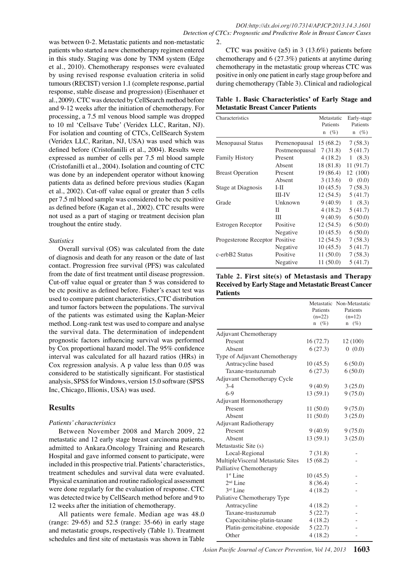was between 0-2. Metastatic patients and non-metastatic patients who started a new chemotherapy regimen entered in this study. Staging was done by TNM system (Edge et al., 2010). Chemotherapy responses were evaluated by using revised response evaluation criteria in solid tumours (RECIST) version 1.1 (complete response, partial response, stable disease and progression) (Eisenhauer et al., 2009). CTC was detected by CellSearch method before and 9-12 weeks after the initiation of chemotherapy. For processing, a 7.5 ml venous blood sample was dropped to 10 ml 'Cellsave Tube' (Veridex LLC, Raritan, NJ). For isolation and counting of CTCs, CellSearch System (Veridex LLC, Raritan, NJ, USA) was used which was defined before (Cristofanilli et al., 2004). Results were expressed as number of cells per 7.5 ml blood sample (Cristofanilli et al., 2004). Isolation and counting of CTC was done by an independent operator without knowing patients data as defined before previous studies (Kagan et al., 2002). Cut-off value equal or greater than 5 cells per 7.5 ml blood sample was considered to be ctc positive as defined before (Kagan et al., 2002). CTC results were not used as a part of staging or treatment decision plan troughout the entire study.

## *Statistics*

Overall survival (OS) was calculated from the date of diagnosis and death for any reason or the date of last contact. Progression free survival (PFS) was calculated from the date of first treatment until disease progression. Cut-off value equal or greater than 5 was considered to be ctc positive as defined before. Fisher's exact test was used to compare patient characteristics, CTC distribution and tumor factors between the populations. The survival of the patients was estimated using the Kaplan-Meier method. Long-rank test was used to compare and analyse the survival data. The determination of independent prognostic factors influencing survival was performed by Cox proportional hazard model. The 95% confidence interval was calculated for all hazard ratios (HRs) in Cox regression analysis. A p value less than 0.05 was considered to be statistically significant. For stastistical analysis, SPSS for Windows, version 15.0 software (SPSS Inc, Chicago, Illionis, USA) was used.

## **Results**

## *Patients' characteristics*

Between November 2008 and March 2009, 22 metastatic and 12 early stage breast carcinoma patients, admitted to Ankara.Oncology Training and Research Hospital and gave informed consent to participate, were included in this prospective trial. Patients' characteristics, treatment schedules and survival data were evaluated. Physical examination and routine radiological assessment were done regularly for the evaluation of response. CTC was detected twice by CellSearch method before and 9 to 12 weeks after the initiation of chemotherapy.

All patients were female. Median age was 48.0 (range: 29-65) and 52.5 (range: 35-66) in early stage and metastatic groups, respectively (Table 1). Treatment schedules and first site of metastasis was shown in Table

CTC was positive  $(\geq 5)$  in 3 (13.6%) patients before chemotherapy and 6 (27.3%) patients at anytime during chemotherapy in the metastatic group whereas CTC was positive in only one patient in early stage group before and during chemotherapy (Table 3). Clinical and radiological

**Table 1. Basic Characteristics' of Early Stage and Metastatic Breast Cancer Patients**

| Characteristics                |                | Metastatic<br>Patients<br>$(\%)$<br>$\mathbf n$ | Early-stage<br>Patients<br>$(\%)$<br>$\mathbf n$ |
|--------------------------------|----------------|-------------------------------------------------|--------------------------------------------------|
| Menopausal Status              | Premenopausal  | 15 (68.2)                                       | 7(58.3)                                          |
|                                | Postmenopausal | 7(31.8)                                         | 5(41.7)                                          |
| <b>Family History</b>          | Present        | 4(18.2)                                         | 1(8.3)                                           |
|                                | Absent         | 18 (81.8)                                       | 11(91.7)                                         |
| <b>Breast Operation</b>        | Present        | 19 (86.4)                                       | 12 (100)                                         |
|                                | Absent         | 3(13.6)                                         | (0.0)<br>0                                       |
| Stage at Diagnosis             | I-II           | 10(45.5)                                        | 7(58.3)                                          |
|                                | III-IV         | 12(54.5)                                        | 5(41.7)                                          |
| Grade                          | Unknown        | 9(40.9)                                         | 1(8.3)                                           |
|                                | Н              | 4(18.2)                                         | 5(41.7)                                          |
|                                | Ш              | 9(40.9)                                         | 6(50.0)                                          |
| Estrogen Receptor              | Positive       | 12(54.5)                                        | 6(50.0)                                          |
|                                | Negative       | 10(45.5)                                        | 6(50.0)                                          |
| Progesterone Receptor Positive |                | 12 (54.5)                                       | 7(58.3)                                          |
|                                | Negative       | 10(45.5)                                        | 5(41.7)                                          |
| c-erbB2 Status                 | Positive       | 11(50.0)                                        | 7(58.3)                                          |
|                                | Negative       | 11(50.0)                                        | 5(41.7)                                          |

**Table 2. First site(s) of Metastasis and Therapy Received by Early Stage and Metastatic Breast Cancer Patients** 

|                                    |                | Metastatic Non-Metastatic |       |
|------------------------------------|----------------|---------------------------|-------|
|                                    | Patients       | Patients                  |       |
|                                    | $(n=22)$       | $(n=12)$                  |       |
|                                    | $n \quad (\%)$ | $n \quad (\%)$            |       |
| Adjuvant Chemotherapy              |                |                           |       |
| Present                            | 16 (72.7)      | 12(100)                   |       |
| Absent                             | 6(27.3)        | 0(0.0)                    |       |
| Type of Adjuvant Chemotherapy      |                |                           | 100.0 |
| Antracycline based                 | 10(45.5)       | 6(50.0)                   |       |
| Taxane-trastuzumab                 | 6(27.3)        | 6(50.0)                   |       |
| Adjuvant Chemotherapy Cycle        |                |                           |       |
| $3-4$                              | 9(40.9)        | 3(25.0)                   | 75.0  |
| $6-9$                              | 13(59.1)       | 9(75.0)                   |       |
| Adjuvant Hormonotherapy            |                |                           |       |
| Present                            | 11(50.0)       | 9(75.0)                   |       |
| Absent                             | 11(50.0)       | 3(25.0)                   | 50.0  |
| Adjuvant Radiotherapy              |                |                           |       |
| Present                            | 9(40.9)        | 9(75.0)                   |       |
| Absent                             | 13(59.1)       | 3(25.0)                   |       |
| Metastastic Site (s)               |                |                           | 25.0  |
| Local-Regional                     | 7(31.8)        |                           |       |
| Multiple Visceral Metastatic Sites | 15 (68.2)      |                           |       |
| Palliative Chemotherapy            |                |                           |       |
| $1st$ Line                         | 10(45.5)       |                           | 0     |
| $2nd$ Line                         | 8(36.4)        |                           |       |
| 3rd Line                           | 4(18.2)        |                           |       |
| Paliative Chemotherapy Type        |                |                           |       |
| Antracycline                       | 4(18.2)        |                           |       |
| Taxane-trastuzumab                 | 5(22.7)        |                           |       |
| Capecitabine-platin-taxane         | 4(18.2)        |                           |       |
| Platin-gemcitabine. etoposide      | 5(22.7)        |                           |       |
| Other                              | 4(18.2)        |                           |       |

**20.3 6.3 10.1**

Newly diagnosed without treatment

**38.0 31.3**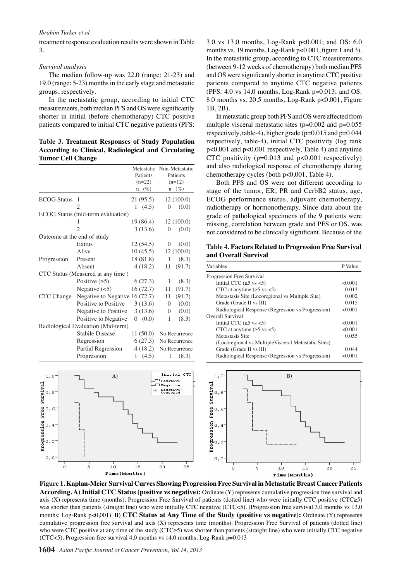#### *Ibrahim Turker et al*

treatment response evaluation results were shown in Table 3.

#### *Survival analysis*

The median follow-up was 22.0 (range: 21-23) and 19.0 (range: 5-23) months in the early stage and metastatic groups, respectively.

In the metastatic group, according to initial CTC measurements, both median PFS and OS were significantly shorter in initial (before chemotherapy) CTC positive patients compared to initial CTC negative patients (PFS:

**Table 3. Treatment Responses of Study Population According to Clinical, Radiological and Circulating Tumor Cell Change** 

|                             |                                    | Metastatic<br>Patients<br>$(n=22)$<br>$(\%)$<br>$\mathbf n$ | Non-Metastatic<br>Patients<br>$(n=12)$<br>$(\%)$<br>$\mathbf n$ |
|-----------------------------|------------------------------------|-------------------------------------------------------------|-----------------------------------------------------------------|
| <b>ECOG</b> Status          | 1                                  | 21 (95.5)                                                   | 12(100.0)                                                       |
|                             | $\overline{2}$                     | 1 $(4.5)$                                                   | (0.0)<br>$\theta$                                               |
|                             | ECOG Status (mid-term evaluation)  |                                                             |                                                                 |
|                             | 1                                  | 19 (86.4)                                                   | 12(100.0)                                                       |
|                             | $\overline{2}$                     | 3(13.6)                                                     | (0.0)<br>$\overline{0}$                                         |
| Outcome at the end of study |                                    |                                                             |                                                                 |
|                             | Exitus                             | 12(54.5)                                                    | (0.0)<br>0                                                      |
|                             | Alive                              | 10(45.5)                                                    | 12(100.0)                                                       |
| Progression                 | Present                            | 18 (81.8)                                                   | $\mathbf{1}$<br>(8.3)                                           |
|                             | Absent                             | 4(18.2)                                                     | 11<br>(91.7)                                                    |
|                             | CTC Status (Measured at any time)  |                                                             |                                                                 |
|                             | Positive $(\ge 5)$                 | 6(27.3)                                                     | 1<br>(8.3)                                                      |
|                             | Negative $(<5)$                    | 16(72.7)                                                    | (91.7)<br>11                                                    |
| CTC Change                  | Negative to Negative 16 (72.7)     |                                                             | (91.7)<br>11                                                    |
|                             | Positive to Positive               | 3(13.6)                                                     | $\theta$<br>(0.0)                                               |
|                             | Negative to Positive               | 3(13.6)                                                     | (0.0)<br>$\mathbf{0}$                                           |
|                             | Positive to Negative               | (0.0)<br>0                                                  | $\mathbf{1}$<br>(8.3)                                           |
|                             | Radiological Evaluation (Mid-term) |                                                             |                                                                 |
|                             | <b>Stabile Disease</b>             | 11(50.0)                                                    | No Recurrence                                                   |
|                             | Regression                         | 6(27.3)                                                     | No Recurrence                                                   |
|                             | Partial Regression                 | 4(18.2)                                                     | No Recurrence                                                   |
|                             | Progression                        | 1 $(4.5)$                                                   | (8.3)<br>1                                                      |



3.0 vs 13.0 months, Log-Rank p<0.001; and OS: 6.0 months vs. 19 months, Log-Rank p<0.001, figure 1 and 3). In the metastatic group, according to CTC measurements (between 9-12 weeks of chemotherapy) both median PFS and OS were significantly shorter in anytime CTC positive patients compared to anytime CTC negative patients (PFS: 4.0 vs 14.0 months, Log-Rank p=0.013; and OS: 8.0 months vs. 20.5 months, Log-Rank p<0.001, Figure 1B, 2B).

In metastatic group both PFS and OS were affected from multiple visceral metastatic sites  $(p=0.002$  and  $p=0.055$ respectively, table-4), higher grade ( $p=0.015$  and  $p=0.044$ respectively, table-4), initial CTC positivity (log rank p<0.001 and p<0.001 respectively, Table 4) and anytime CTC positivity  $(p=0.013$  and  $p<0.001$  respectively) and also radiological response of chemotherapy during chemotherapy cycles (both p<0.001, Table 4).

Both PFS and OS were not different according to stage of the tumor, ER, PR and CerbB2 status, age, ECOG performance status, adjuvant chemotherapy, radiotherapy or hormonotherapy. Since data about the grade of pathological specimens of the 9 patients were missing, correlation between grade and PFS or OS, was not considered to be clinically significant. Because of the

**Table 4. Factors Related to Progression Free Survival and Overall Survival**

| Variables                                           | P Value |
|-----------------------------------------------------|---------|
| Progression Free Survival                           |         |
| Initial CTC ( $\ge$ 5 vs <5)                        | < 0.001 |
| CTC at anytime $(\ge 5 \text{ vs } < 5)$            | 0.013   |
| Metastasis Site (Locoregional vs Multiple Site)     | 0.002   |
| Grade (Grade II vs III)                             | 0.015   |
| Radiological Response (Regression vs Progression)   | < 0.001 |
| Overall Survival                                    |         |
| Initial CTC ( $\ge$ 5 vs <5)                        | < 0.001 |
| CTC at anytime $(\ge 5 \text{ vs } < 5)$            | < 0.001 |
| Metastasis Site                                     | 0.055   |
| (Locoregional vs MultipleVisceral Metastatic Sites) |         |
| Grade (Grade II vs III)                             | 0.044   |
| Radiological Response (Regression vs Progression)   | < 0.001 |



**Figure 1. Kaplan-Meier Survival Curves Showing Progression Free Survival in Metastatic Breast Cancer Patients According. A) Initial CTC Status (positive vs negative):** Ordinate (Y) represents cumulative progression free survival and axis (X) represents time (months). Progression Free Survival of patients (dotted line) who were initially CTC positive (CTC≥5) was shorter than patients (straight line) who were initially CTC negative (CTC<5). (Progression free survival 3,0 months vs 13,0 months; Log-Rank p<0,001). **B) CTC Status at Any Time of the Study (positive vs negative):** Ordinate (Y) represents cumulative progression free survival and axis (X) represents time (months). Progression Free Survival of patients (dotted line) who were CTC positive at any time of the study (CTC≥5) was shorter than patients (straight line) who were initially CTC negative (CTC $\lt 5$ ). Progression free survival 4.0 months vs 14.0 months; Log-Rank p=0.013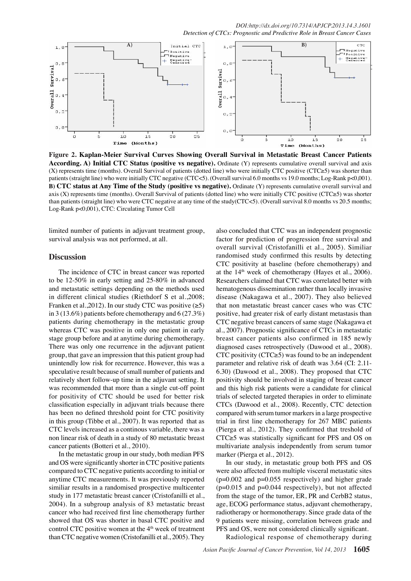

**Figure 2. Kaplan-Meier Survival Curves Showing Overall Survival in Metastatic Breast Cancer Patients According. A) Initial CTC Status (positive vs negative).** Ordinate (Y) represents cumulative overall survival and axis (X) represents time (months). Overall Survival of patients (dotted line) who were initially CTC positive (CTC≥5) was shorter than patients (straight line) who were initially CTC negative (CTC<5). (Overall survival 6.0 months vs 19.0 months; Log-Rank p<0,001). **B) CTC status at Any Time of the Study (positive vs negative).** Ordinate (Y) represents cumulative overall survival and axis (X) represents time (months). Overall Survival of patients (dotted line) who were initially CTC positive (CTC≥5) was shorter than patients (straight line) who were CTC negative at any time of the study(CTC<5). (Overall survival 8.0 months vs 20.5 months; Log-Rank p<0,001), CTC: Circulating Tumor Cell

limited number of patients in adjuvant treatment group, survival analysis was not performed, at all.

## **Discussion**

The incidence of CTC in breast cancer was reported to be 12-50% in early setting and 25-80% in advanced and metastatic settings depending on the methods used in different clinical studies (Riethdorf S et al.,2008; Franken et al., 2012). In our study CTC was positive  $(\geq 5)$ in 3 (13.6%) patients before chemotherapy and 6 (27.3%) patients during chemotherapy in the metastatic group whereas CTC was positive in only one patient in early stage group before and at anytime during chemotherapy. There was only one recurrence in the adjuvant patient group, that gave an impression that this patient group had unintendly low risk for recurrence. However, this was a speculative result because of small number of patients and relatively short follow-up time in the adjuvant setting. It was recommended that more than a single cut-off point for positivity of CTC should be used for better risk classification especially in adjuvant trials because there has been no defined threshold point for CTC positivity in this group (Tibbe et al., 2007). It was reported that as CTC levels increased as a continous variable, there was a non linear risk of death in a study of 80 metastatic breast cancer patients (Botteri et al., 2010).

In the metastatic group in our study, both median PFS and OS were significantly shorter in CTC positive patients compared to CTC negative patients according to initial or anytime CTC measurements. It was previously reported similiar results in a randomised prospective multicenter study in 177 metastatic breast cancer (Cristofanilli et al., 2004). In a subgroup analysis of 83 metastatic breast cancer who had received first line chemotherapy further showed that OS was shorter in basal CTC positive and control CTC positive women at the  $4<sup>th</sup>$  week of treatment than CTC negative women (Cristofanilli et al., 2005). They

also concluded that CTC was an independent prognostic factor for prediction of progression free survival and overall survival (Cristofanilli et al., 2005). Similiar randomised study confirmed this results by detecting CTC positivity at baseline (before chemotherapy) and at the  $14<sup>th</sup>$  week of chemotherapy (Hayes et al., 2006). Researchers claimed that CTC was correlated better with hematogenous dissemination rather than locally invasive disease (Nakagawa et al., 2007). They also believed that non metastatic breast cancer cases who was CTC positive, had greater risk of early distant metastasis than CTC negative breast cancers of same stage (Nakagawa et al., 2007). Prognostic significance of CTCs in metastatic breast cancer patients also confirmed in 185 newly diagnosed cases retrospectively (Dawood et al., 2008). CTC positivity (CTC $\geq$ 5) was found to be an independent parameter and relative risk of death was 3.64 (CI: 2.11- 6.30) (Dawood et al., 2008). They proposed that CTC positivity should be involved in staging of breast cancer and this high risk patients were a candidate for clinical trials of selected targeted therapies in order to eliminate CTCs (Dawood et al., 2008). Recently, CTC detection compared with serum tumor markers in a large prospective trial in first line chemotherapy for 267 MBC patients (Pierga et al., 2012). They confirmed that treshold of CTC≥5 was statistically significant for PFS and OS on multivariate analysis independently from serum tumor marker (Pierga et al., 2012).

In our study, in metastatic group both PFS and OS were also affected from multiple visceral metastatic sites  $(p=0.002$  and  $p=0.055$  respectively) and higher grade  $(p=0.015$  and  $p=0.044$  respectively), but not affected from the stage of the tumor, ER, PR and CerbB2 status, age, ECOG performance status, adjuvant chemotherapy, radiotherapy or hormonotherapy. Since grade data of the 9 patients were missing, correlation between grade and PFS and OS, were not considered clinically significant.

Radiological response of chemotherapy during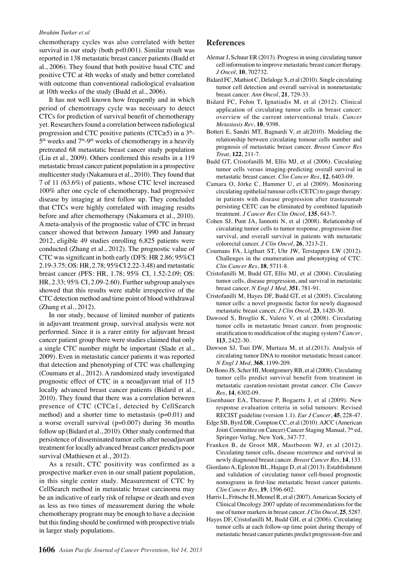#### *Ibrahim Turker et al*

chemotherapy cycles was also correlated with better survival in our study (both p<0.001). Similar result was reported in 138 metastatic breast cancer patients (Budd et al., 2006). They found that both positive basal CTC and positive CTC at 4th weeks of study and better correlated with outcome than conventional radiological evaluation at 10th weeks of the study (Budd et al., 2006).

that CTCs were highly correlated with imaging results<sub>25.0</sub> pretreated 68 metastatic breast cancer study population 75.0 yet. Researchers found a correlation between radiologicall 00.0 **46.8 56.3** multicenter study (Nakamura et al., 2010). They found that It has not well known how frequently and in which period of chemotreapy cycle was necessary to detect CTCs for prediction of survival benefit of chemotherapy progression and CTC positive patients (CTC≥5) in a  $3<sup>th</sup>$ - $5<sup>th</sup>$  weeks and  $7<sup>th</sup>$ -9<sup>th</sup> weeks of chemotherapy in a heavily (Liu et al., 2009). Others confirmed this results in a 119 metastatic breast cancer patient population in a prospective 7 of 11 (63.6%) of patients, whose CTC level increased 100% after one cycle of chemotherapy, had progressive disease by imaging at first follow up. They concluded before and after chemotherapy (Nakamura et al., 2010). A meta-analysis of the prognostic value of CTC in breast cancer showed that between January 1990 and January 2012, eligible 49 studies enrolling 6,825 patients were conducted (Zhang et al., 2012). The prognostic value of CTC was significant in both early (DFS: HR 2.86; 95%CI 2.19-3.75; OS: HR, 2.78; 95%CI 2.22-3.48) and metastatic breast cancer (PFS: HR, 1.78; 95% CI, 1.52-2.09; OS: HR, 2.33; 95% CI, 2.09-2.60). Further subgroup analyses showed that this results were stable irrespective of the CTC detection method and time point of blood withdrawal (Zhang et al., 2012).

In our study, because of limited number of patients in adjuvant treatment group, survival analysis were not performed. Since it is a rarer entity for adjuvant breast cancer patient group there were studies claimed that only a single CTC number might be important (Slade et al., 2009). Even in metastatic cancer patients it was reported that detection and phenotyping of CTC was challenging (Coumans et al., 2012). A randomized study investigated prognostic effect of CTC in a neoadjuvant trial of 115 locally advanced breast cancer patients (Bidard et al., 2010). They found that there was a correlation between presence of CTC (CTC≥1, detected by CellSearch method) and a shorter time to metastasis  $(p=0.01)$  and a worse overall survival  $(p=0.007)$  during 36 months follow up (Bidard et al., 2010). Other study confirmed that persistence of disseminated tumor cells after neoadjuvant treatment for locally advanced breast cancer predicts poor survival (Mathiesen et al., 2012).

As a result, CTC positivity was confirmed as a prospective marker even in our small patient population, in this single center study. Measurement of CTC by CellSearch method in metastatic breast carcinoma may be an indicative of early risk of relapse or death and even as less as two times of measurement during the whole chemotherapy program may be enough to have a decision but this finding should be confirmed with prospective trials in larger study populations.

## **References**

- Alemar J, Schuur ER (2013). Progress in using circulating tumor cell information to improve metastatic breast cancer therapy. *J Oncol*, **10**, 702732.
- Bidard FC, Mathiot C, Delaloge S, et al (2010). Single circulating tumor cell detection and overall survival in nonmetastatic breast cancer. *Ann Oncol*, **21**, 729-33.
- Bidard FC, Fehm T, Ignatiadis M, et al (2012). Clinical application of circulating tumor cells in breast cancer: overview of the current interventional trials. *Cancer Metastasis Rev*, **10**, 9398.
- *25.0 Cancer Res* | **30.0 20.3 10.1 10.1 10.1 10.1 10.1 10.1 10.1 10.1 10.1 10.1 10.1 10.1 10.1 10.1 10.1 10.1 10.1 10.1 10.1 10.1 10.1 10.1 10.1 10.1 10.1 10.1 10.1 10.1 10.1 10.1 10.1** relationship between circulating tomour cells number and prognosis of metastatic breast cancer. *Breast Cancer Res Treat*, **122**, 211-7.
- Budd GT, Cristofanilli M, Ellis MJ, et al (2006). Circulating tumo**g cells** vers<sup>46</sup>. Sinaging-predicting overall survival in metastatic breast cancer. *Clin Cancer Res*, **12**, 6403-09.
- 50.0 Camara O, Jörke C, Hammer U, et al (3009). Monitoring 30.0 Camara O, Jörke C, Hammer U, et al (3009). Monitoring circulating epithelial tumour cells (CETC) to gauge therapy: in patients with disease progression after trastuzumab persisting CETC can be eliminated by combined lapatinib
	- **38.0 31.3** treatment. *J Cancer Res Clin Oncol*, **135**, 643-7.
	- 0 **25.0 27.6 33.1 31.3 30.0 23.7** Cohen SJ, Punt JA, Iannotti N, et al (2008). Relationship of circulating tumor cells to tumor response, progression-free survival, and overall survival in patients with metasta
	- colorectal cancer. *J Clin Oncol*, **26**, 3213-21. Coumans  $E_A$ , Ligthart ST, Uhr  $E_W$ , Terstappen LW (2012).
	- Remission Challesses in the enumeration and phenotyping of CT *Clin Cancer Res*, **18**, 5711-8.
	- Persistence or recurrence Cristofanilly M, BuddgGT, Ellis  $\overline{M}$ J, et al (2004). Circulati tumor  $\triangle$ lls, diseas $\overline{\diamond}$  progressi $\circ$ n, and survival in metasta breast cancer. *N Engl J Med*, **351**, 781-91.
	- Newly diagnosed with diagnosed with treatment. Newly diagnosed with treatment. Cristofanil $\mathbb{R}$  M, Hayes DF, Budd  $\mathbb{G}$ T, et al (2005). Circulation tumor  $\frac{d}{dt}$ lls: a nov $\frac{d}{dt}$  prognosti $\frac{d}{dt}$  factor for newly diagnos metastatic breast cancer. *J Clin Oncol*, 23, 1420-30.
	- Dawood  $\mathbb{S}$  Broglio  $\mathbb{R}$ , Valero V, et al (2008). Circulation tumor  $\overline{\xi}$ ells in metastatic breast cancer. from prognos stratification to modification of the staging system? *Cancer*, **113**, 2422-30.
	- Dawson SJ, Tsui DW, Murtaza M, et al.(2013). Analysis of circulating tumor DNA to monitor metastatic breast cancer. *N Engl J Med*, **368**, 1199-209.
	- De Bono JS, Scher HI, Montgomery RB, et al (2008). Circulating tumor cells predict survival benefit from treatment in metastatic casration-resistant prostat cancer. *Clin Cancer Res*, **14**, 6302-09.
	- Eisenhauer EA, Therasse P, Bogaerts J, et al (2009). New response evaluation criteria in solid tumours: Revised RECIST guideline (version 1.1). *Eur J Cancer*, **45**, 228-47.
	- Edge SB, Byrd DR, Compton CC, et al (2010). AJCC (American Joint Committee on Cancer) Cancer Staging Manual, 7<sup>th</sup> ed, Springer-Verlag, New York, 347-77.
	- Franken B, de Groot MR, Mastboom WJ, et al (2012). Circulating tumor cells, disease recurrence and survival in newly diagnosed breast cancer. *Breast Cancer Res*, **14**, 133.
	- Giordano A, Egleston BL, Hajage D, et al (2013). Establishment and validation of circulating tumor cell-based prognostic nomograms in first-line metastatic breast cancer patients. *Clin Cancer Res*, **19**, 1596-602.
	- Harris L, Fritsche H, Mennel R, et al (2007). Amarican Society of Clinical Oncology 2007 update of recommendations for the use of tumor markers in breast cancer. *J Clin Oncol*, **25**, 5287.
	- Hayes DF, Cristofanilli M, Budd GH, et al (2006). Circulating tumor cells at each follow-up time point during therapy of metastatic breast cancer patients predict progression-free and

| ree<br>tic |      |              |
|------------|------|--------------|
| 2).<br>C.  | None | Themotherany |
| ing<br>tic |      |              |
| ing<br>sed |      |              |
| ng<br>tic  |      |              |

**12.8**

**51.1**